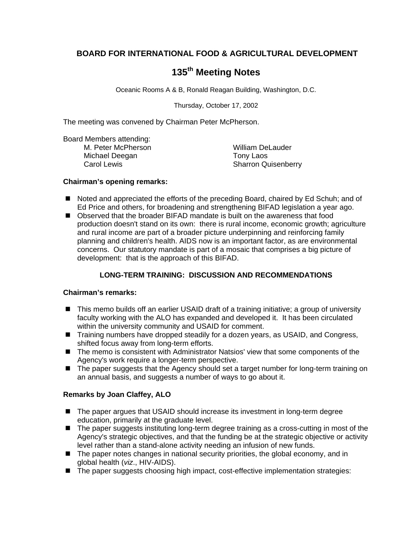# **BOARD FOR INTERNATIONAL FOOD & AGRICULTURAL DEVELOPMENT**

# **135th Meeting Notes**

Oceanic Rooms A & B, Ronald Reagan Building, Washington, D.C.

Thursday, October 17, 2002

The meeting was convened by Chairman Peter McPherson.

Board Members attending:

M. Peter McPherson William DeLauder Michael Deegan Tony Laos

Carol Lewis **Carol Lewis** Carol Lewis **Carol Lewis** Sharron Quisenberry

## **Chairman's opening remarks:**

- Noted and appreciated the efforts of the preceding Board, chaired by Ed Schuh; and of Ed Price and others, for broadening and strengthening BIFAD legislation a year ago.
- Observed that the broader BIFAD mandate is built on the awareness that food production doesn't stand on its own: there is rural income, economic growth; agriculture and rural income are part of a broader picture underpinning and reinforcing family planning and children's health. AIDS now is an important factor, as are environmental concerns. Our statutory mandate is part of a mosaic that comprises a big picture of development: that is the approach of this BIFAD.

## **LONG-TERM TRAINING: DISCUSSION AND RECOMMENDATIONS**

## **Chairman's remarks:**

- ! This memo builds off an earlier USAID draft of a training initiative; a group of university faculty working with the ALO has expanded and developed it. It has been circulated within the university community and USAID for comment.
- ! Training numbers have dropped steadily for a dozen years, as USAID, and Congress, shifted focus away from long-term efforts.
- The memo is consistent with Administrator Natsios' view that some components of the Agency's work require a longer-term perspective.
- **If** The paper suggests that the Agency should set a target number for long-term training on an annual basis, and suggests a number of ways to go about it.

## **Remarks by Joan Claffey, ALO**

- The paper argues that USAID should increase its investment in long-term degree education, primarily at the graduate level.
- **If** The paper suggests instituting long-term degree training as a cross-cutting in most of the Agency's strategic objectives, and that the funding be at the strategic objective or activity level rather than a stand-alone activity needing an infusion of new funds.
- The paper notes changes in national security priorities, the global economy, and in global health (*viz*., HIV-AIDS).
- The paper suggests choosing high impact, cost-effective implementation strategies: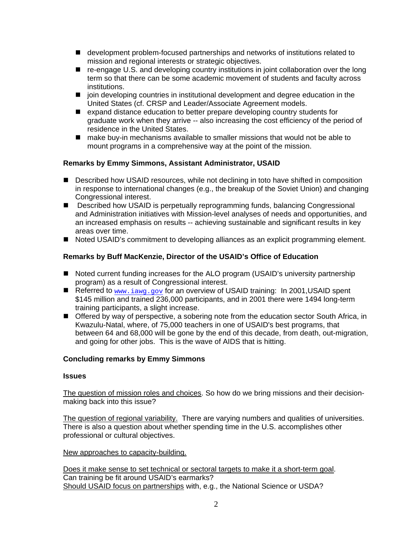- ! development problem-focused partnerships and networks of institutions related to mission and regional interests or strategic objectives.
- re-engage U.S. and developing country institutions in joint collaboration over the long term so that there can be some academic movement of students and faculty across institutions.
- **I** join developing countries in institutional development and degree education in the United States (cf. CRSP and Leader/Associate Agreement models.
- ! expand distance education to better prepare developing country students for graduate work when they arrive -- also increasing the cost efficiency of the period of residence in the United States.
- make buy-in mechanisms available to smaller missions that would not be able to mount programs in a comprehensive way at the point of the mission.

## **Remarks by Emmy Simmons, Assistant Administrator, USAID**

- **E** Described how USAID resources, while not declining in toto have shifted in composition in response to international changes (e.g., the breakup of the Soviet Union) and changing Congressional interest.
- **. Described how USAID is perpetually reprogramming funds, balancing Congressional** and Administration initiatives with Mission-level analyses of needs and opportunities, and an increased emphasis on results -- achieving sustainable and significant results in key areas over time.
- **If** Noted USAID's commitment to developing alliances as an explicit programming element.

## **Remarks by Buff MacKenzie, Director of the USAID's Office of Education**

- Noted current funding increases for the ALO program (USAID's university partnership program) as a result of Congressional interest.
- Referred to www.iawg.gov for an overview of USAID training: In 2001, USAID spent \$145 million and trained 236,000 participants, and in 2001 there were 1494 long-term training participants, a slight increase.
- **If** Offered by way of perspective, a sobering note from the education sector South Africa, in Kwazulu-Natal, where, of 75,000 teachers in one of USAID's best programs, that between 64 and 68,000 will be gone by the end of this decade, from death, out-migration, and going for other jobs. This is the wave of AIDS that is hitting.

## **Concluding remarks by Emmy Simmons**

#### **Issues**

The question of mission roles and choices. So how do we bring missions and their decisionmaking back into this issue?

The question of regional variability. There are varying numbers and qualities of universities. There is also a question about whether spending time in the U.S. accomplishes other professional or cultural objectives.

#### New approaches to capacity-building.

Does it make sense to set technical or sectoral targets to make it a short-term goal. Can training be fit around USAID's earmarks? Should USAID focus on partnerships with, e.g., the National Science or USDA?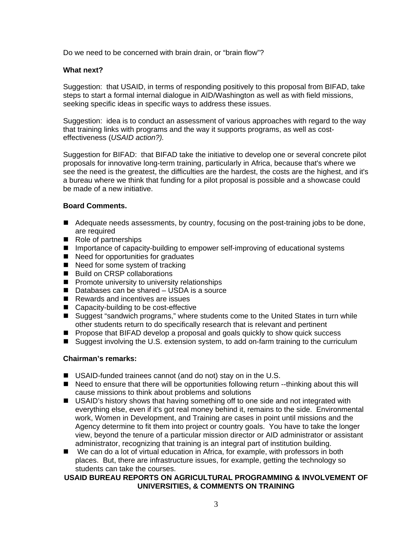Do we need to be concerned with brain drain, or "brain flow"?

#### **What next?**

Suggestion: that USAID, in terms of responding positively to this proposal from BIFAD, take steps to start a formal internal dialogue in AID/Washington as well as with field missions, seeking specific ideas in specific ways to address these issues.

Suggestion: idea is to conduct an assessment of various approaches with regard to the way that training links with programs and the way it supports programs, as well as costeffectiveness (*USAID action?).*

Suggestion for BIFAD: that BIFAD take the initiative to develop one or several concrete pilot proposals for innovative long-term training, particularly in Africa, because that's where we see the need is the greatest, the difficulties are the hardest, the costs are the highest, and it's a bureau where we think that funding for a pilot proposal is possible and a showcase could be made of a new initiative.

## **Board Comments.**

- Adequate needs assessments, by country, focusing on the post-training jobs to be done, are required
- Role of partnerships
- Importance of capacity-building to empower self-improving of educational systems
- Need for opportunities for graduates
- Need for some system of tracking
- Build on CRSP collaborations
- **Promote university to university relationships**
- Databases can be shared USDA is a source
- Rewards and incentives are issues
- Capacity-building to be cost-effective
- Suggest "sandwich programs," where students come to the United States in turn while other students return to do specifically research that is relevant and pertinent
- **Peropose that BIFAD develop a proposal and goals quickly to show quick success**
- Suggest involving the U.S. extension system, to add on-farm training to the curriculum

## **Chairman's remarks:**

- USAID-funded trainees cannot (and do not) stay on in the U.S.
- Need to ensure that there will be opportunities following return --thinking about this will cause missions to think about problems and solutions
- USAID's history shows that having something off to one side and not integrated with everything else, even if it's got real money behind it, remains to the side. Environmental work, Women in Development, and Training are cases in point until missions and the Agency determine to fit them into project or country goals. You have to take the longer view, beyond the tenure of a particular mission director or AID administrator or assistant administrator, recognizing that training is an integral part of institution building.
- We can do a lot of virtual education in Africa, for example, with professors in both places. But, there are infrastructure issues, for example, getting the technology so students can take the courses.

## **USAID BUREAU REPORTS ON AGRICULTURAL PROGRAMMING & INVOLVEMENT OF UNIVERSITIES, & COMMENTS ON TRAINING**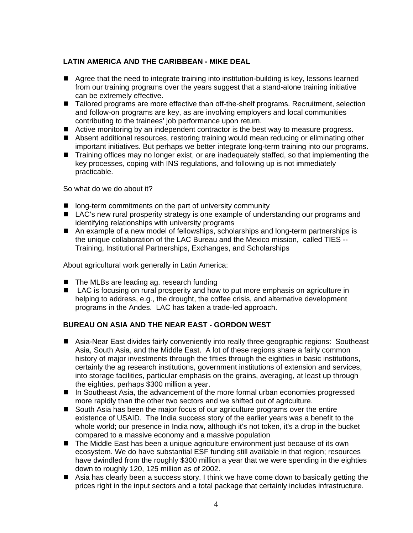## **LATIN AMERICA AND THE CARIBBEAN - MIKE DEAL**

- Agree that the need to integrate training into institution-building is key, lessons learned from our training programs over the years suggest that a stand-alone training initiative can be extremely effective.
- Tailored programs are more effective than off-the-shelf programs. Recruitment, selection and follow-on programs are key, as are involving employers and local communities contributing to the trainees' job performance upon return.
- **E** Active monitoring by an independent contractor is the best way to measure progress.
- ! Absent additional resources, restoring training would mean reducing or eliminating other important initiatives. But perhaps we better integrate long-term training into our programs.
- **If** Training offices may no longer exist, or are inadequately staffed, so that implementing the key processes, coping with INS regulations, and following up is not immediately practicable.

So what do we do about it?

- **I** long-term commitments on the part of university community
- LAC's new rural prosperity strategy is one example of understanding our programs and identifying relationships with university programs
- An example of a new model of fellowships, scholarships and long-term partnerships is the unique collaboration of the LAC Bureau and the Mexico mission, called TIES -- Training, Institutional Partnerships, Exchanges, and Scholarships

About agricultural work generally in Latin America:

- The MLBs are leading ag. research funding
- LAC is focusing on rural prosperity and how to put more emphasis on agriculture in helping to address, e.g., the drought, the coffee crisis, and alternative development programs in the Andes. LAC has taken a trade-led approach.

## **BUREAU ON ASIA AND THE NEAR EAST - GORDON WEST**

- ! Asia-Near East divides fairly conveniently into really three geographic regions: Southeast Asia, South Asia, and the Middle East. A lot of these regions share a fairly common history of major investments through the fifties through the eighties in basic institutions, certainly the ag research institutions, government institutions of extension and services, into storage facilities, particular emphasis on the grains, averaging, at least up through the eighties, perhaps \$300 million a year.
- In Southeast Asia, the advancement of the more formal urban economies progressed more rapidly than the other two sectors and we shifted out of agriculture.
- South Asia has been the major focus of our agriculture programs over the entire existence of USAID. The India success story of the earlier years was a benefit to the whole world; our presence in India now, although it's not token, it's a drop in the bucket compared to a massive economy and a massive population
- The Middle East has been a unique agriculture environment just because of its own ecosystem. We do have substantial ESF funding still available in that region; resources have dwindled from the roughly \$300 million a year that we were spending in the eighties down to roughly 120, 125 million as of 2002.
- Asia has clearly been a success story. I think we have come down to basically getting the prices right in the input sectors and a total package that certainly includes infrastructure.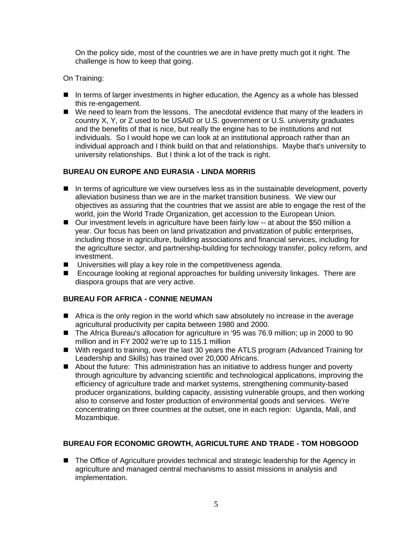On the policy side, most of the countries we are in have pretty much got it right. The challenge is how to keep that going.

On Training:

- **If** In terms of larger investments in higher education, the Agency as a whole has blessed this re-engagement.
- We need to learn from the lessons. The anecdotal evidence that many of the leaders in country X, Y, or Z used to be USAID or U.S. government or U.S. university graduates and the benefits of that is nice, but really the engine has to be institutions and not individuals. So I would hope we can look at an institutional approach rather than an individual approach and I think build on that and relationships. Maybe that's university to university relationships. But I think a lot of the track is right.

## **BUREAU ON EUROPE AND EURASIA - LINDA MORRIS**

- **I** In terms of agriculture we view ourselves less as in the sustainable development, poverty alleviation business than we are in the market transition business. We view our objectives as assuring that the countries that we assist are able to engage the rest of the world, join the World Trade Organization, get accession to the European Union.
- Our investment levels in agriculture have been fairly low -- at about the \$50 million a year. Our focus has been on land privatization and privatization of public enterprises, including those in agriculture, building associations and financial services, including for the agriculture sector, and partnership-building for technology transfer, policy reform, and investment.
- $\blacksquare$  Universities will play a key role in the competitiveness agenda.
- **E** Encourage looking at regional approaches for building university linkages. There are diaspora groups that are very active.

## **BUREAU FOR AFRICA - CONNIE NEUMAN**

- **If** Africa is the only region in the world which saw absolutely no increase in the average agricultural productivity per capita between 1980 and 2000.
- The Africa Bureau's allocation for agriculture in '95 was 76.9 million; up in 2000 to 90 million and in FY 2002 we're up to 115.1 million
- ! With regard to training, over the last 30 years the ATLS program (Advanced Training for Leadership and Skills) has trained over 20,000 Africans.
- About the future: This administration has an initiative to address hunger and poverty through agriculture by advancing scientific and technological applications, improving the efficiency of agriculture trade and market systems, strengthening community-based producer organizations, building capacity, assisting vulnerable groups, and then working also to conserve and foster production of environmental goods and services. We're concentrating on three countries at the outset, one in each region: Uganda, Mali, and Mozambique.

## **BUREAU FOR ECONOMIC GROWTH, AGRICULTURE AND TRADE - TOM HOBGOOD**

**If** The Office of Agriculture provides technical and strategic leadership for the Agency in agriculture and managed central mechanisms to assist missions in analysis and implementation.